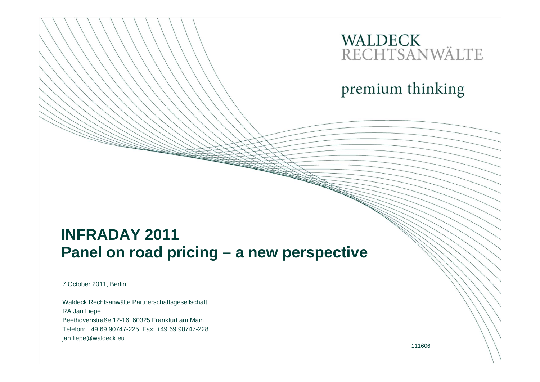# WALDECK<br>RECHTSANWÄLTE

premium thinking

#### **INFRADAY 2011 Panel on road pricing – a new perspective**

7 October 2011, Berlin

Waldeck Rechtsanwälte Partnerschaftsgesellschaft RA Jan Liepe Beethovenstraße 12-16 60325 Frankfurt am Main Telefon: +49.69.90747-225 Fax: +49.69.90747-228jan.liepe@waldeck.eu

111606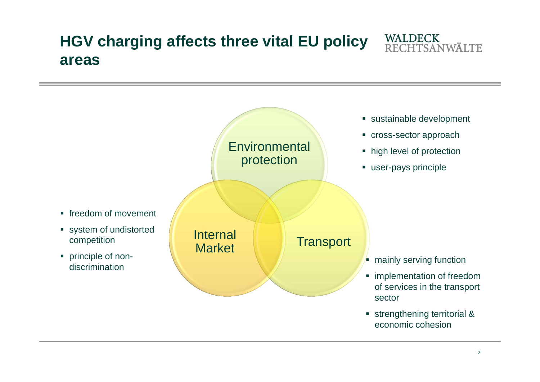### **HGV charging affects three vital EU policy areas**



WALDECK<br>RECHTSANWÄLTE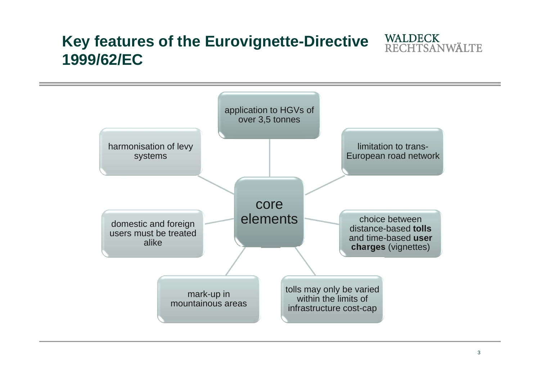### **Key features of the Eurovignette-Directive 1999/62/EC**

core elements application to HGVs of over 3,5 tonnes limitation to trans-European road network choice between distance-based **tolls**  and time-based **user charges** (vignettes) tolls may only be varied within the limits of infrastructure cost-cap mark-up in mountainous areasdomestic and foreign users must be treated alikeharmonisation of levy systems

WALDECK<br>RECHTSANWÄLTE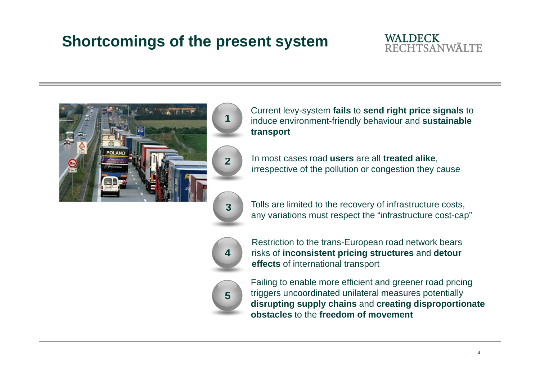## **Shortcomings of the present system**

#### **WALDECK RECHTSANWÄLTE**





 Current levy-system **fails** to **send right price signals** to induce environment-friendly behaviour and **sustainable transport** 

 In most cases road **users** are all **treated alike**, irrespective of the pollution or congestion they cause

**3**

Tolls are limited to the recovery of infrastructure costs, any variations must respect the "infrastructure cost-cap"



Restriction to the trans-European road network bears risks of **inconsistent pricing structures** and **detour effects** of international transport



Failing to enable more efficient and greener road pricing triggers uncoordinated unilateral measures potentially **disrupting supply chains** and **creating disproportionate obstacles** to the **freedom of movement**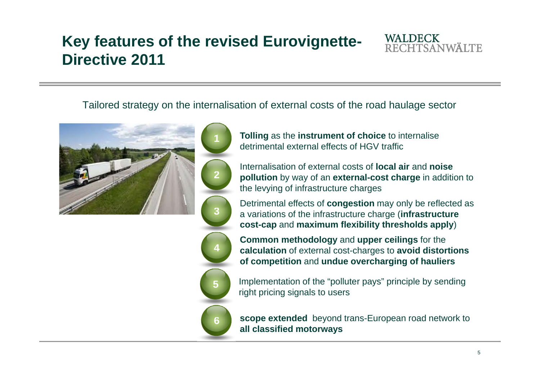### **Key features of the revised Eurovignette-Directive 2011**

**1**



Tailored strategy on the internalisation of external costs of the road haulage sector





 **Tolling** as the **instrument of choice** to internalise detrimental external effects of HGV traffic

Internalisation of external costs of **local air** and **noise pollution** by way of an **external-cost charge** in addition to the levying of infrastructure charges

Detrimental effects of **congestion** may only be reflected as a variations of the infrastructure charge (**infrastructure cost-cap** and **maximum flexibility thresholds apply**)

 **Common methodology** and **upper ceilings** for the **calculation** of external cost-charges to **avoid distortions of competition** and **undue overcharging of hauliers** 



 **scope extended** beyond trans-European road network to **all classified motorways**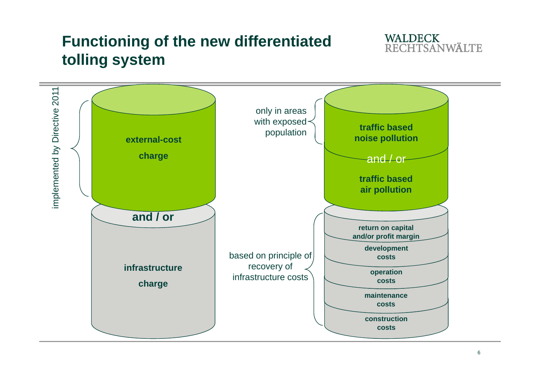## **Functioning of the new differentiated tolling system**



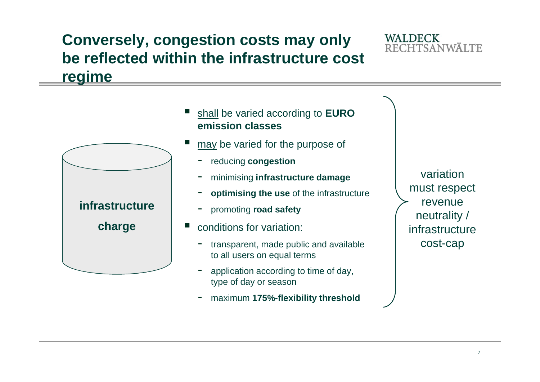#### **Conversely, congestion costs may only be reflected within the infrastructure cost regime**



maximum **175%-flexibility threshold**

**WALDECK** 

**RECHTSANWÄLTE**